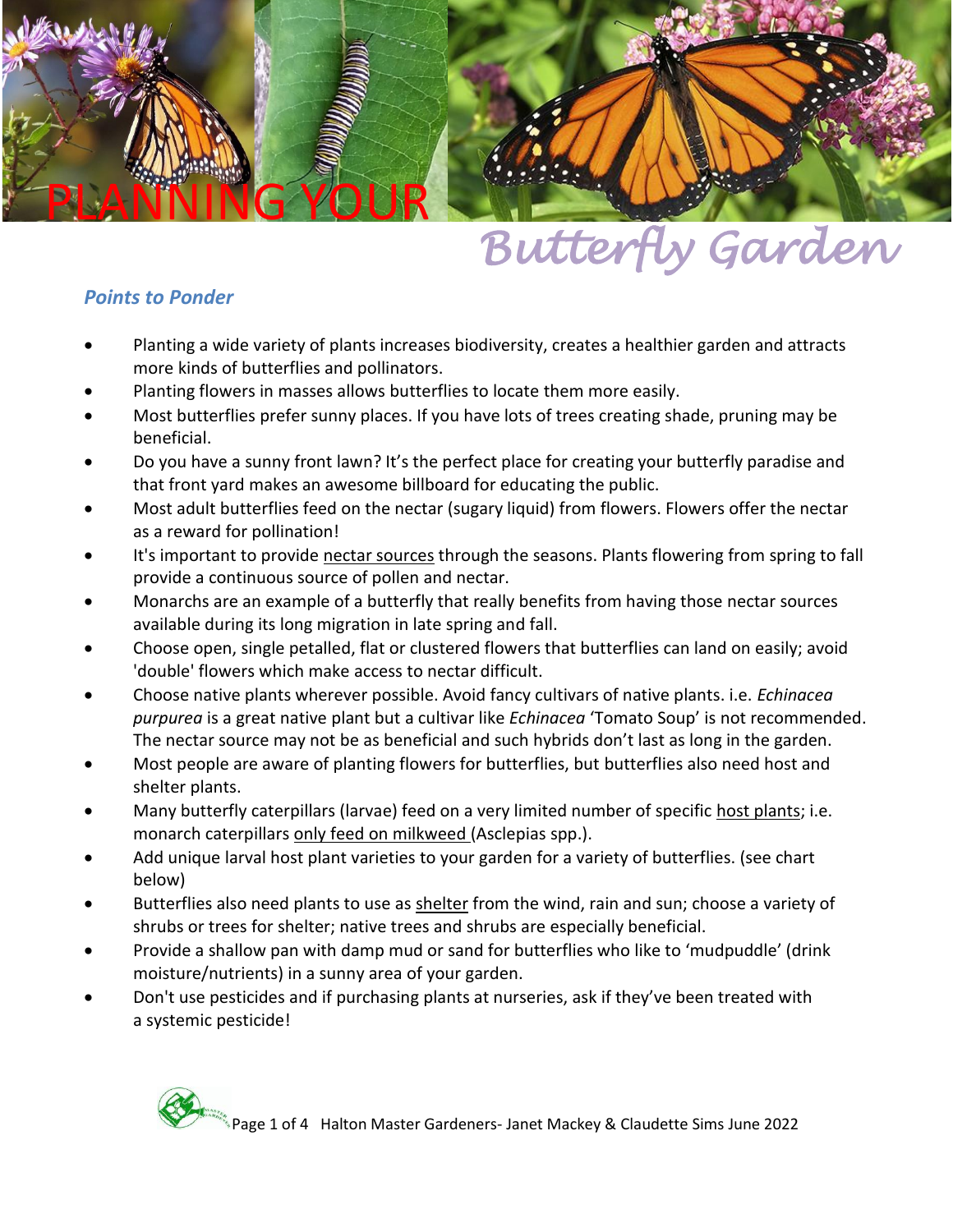

# *Butterfly Garden*

## *Points to Ponder*

- Planting a wide variety of plants increases biodiversity, creates a healthier garden and attracts more kinds of butterflies and pollinators.
- Planting flowers in masses allows butterflies to locate them more easily.
- Most butterflies prefer sunny places. If you have lots of trees creating shade, pruning may be beneficial.
- Do you have a sunny front lawn? It's the perfect place for creating your butterfly paradise and that front yard makes an awesome billboard for educating the public.
- Most adult butterflies feed on the nectar (sugary liquid) from flowers. Flowers offer the nectar as a reward for pollination!
- It's important to provide nectar sources through the seasons. Plants flowering from spring to fall provide a continuous source of pollen and nectar.
- Monarchs are an example of a butterfly that really benefits from having those nectar sources available during its long migration in late spring and fall.
- Choose open, single petalled, flat or clustered flowers that butterflies can land on easily; avoid 'double' flowers which make access to nectar difficult.
- Choose native plants wherever possible. Avoid fancy cultivars of native plants. i.e. *Echinacea purpurea* is a great native plant but a cultivar like *Echinacea* 'Tomato Soup' is not recommended. The nectar source may not be as beneficial and such hybrids don't last as long in the garden.
- Most people are aware of planting flowers for butterflies, but butterflies also need host and shelter plants.
- Many butterfly caterpillars (larvae) feed on a very limited number of specific host plants; i.e. monarch caterpillars only feed on milkweed (Asclepias spp.).
- Add unique larval host plant varieties to your garden for a variety of butterflies. (see chart below)
- Butterflies also need plants to use as shelter from the wind, rain and sun; choose a variety of shrubs or trees for shelter; native trees and shrubs are especially beneficial.
- Provide a shallow pan with damp mud or sand for butterflies who like to 'mudpuddle' (drink moisture/nutrients) in a sunny area of your garden.
- Don't use pesticides and if purchasing plants at nurseries, ask if they've been treated with a systemic pesticide!

![](_page_0_Picture_18.jpeg)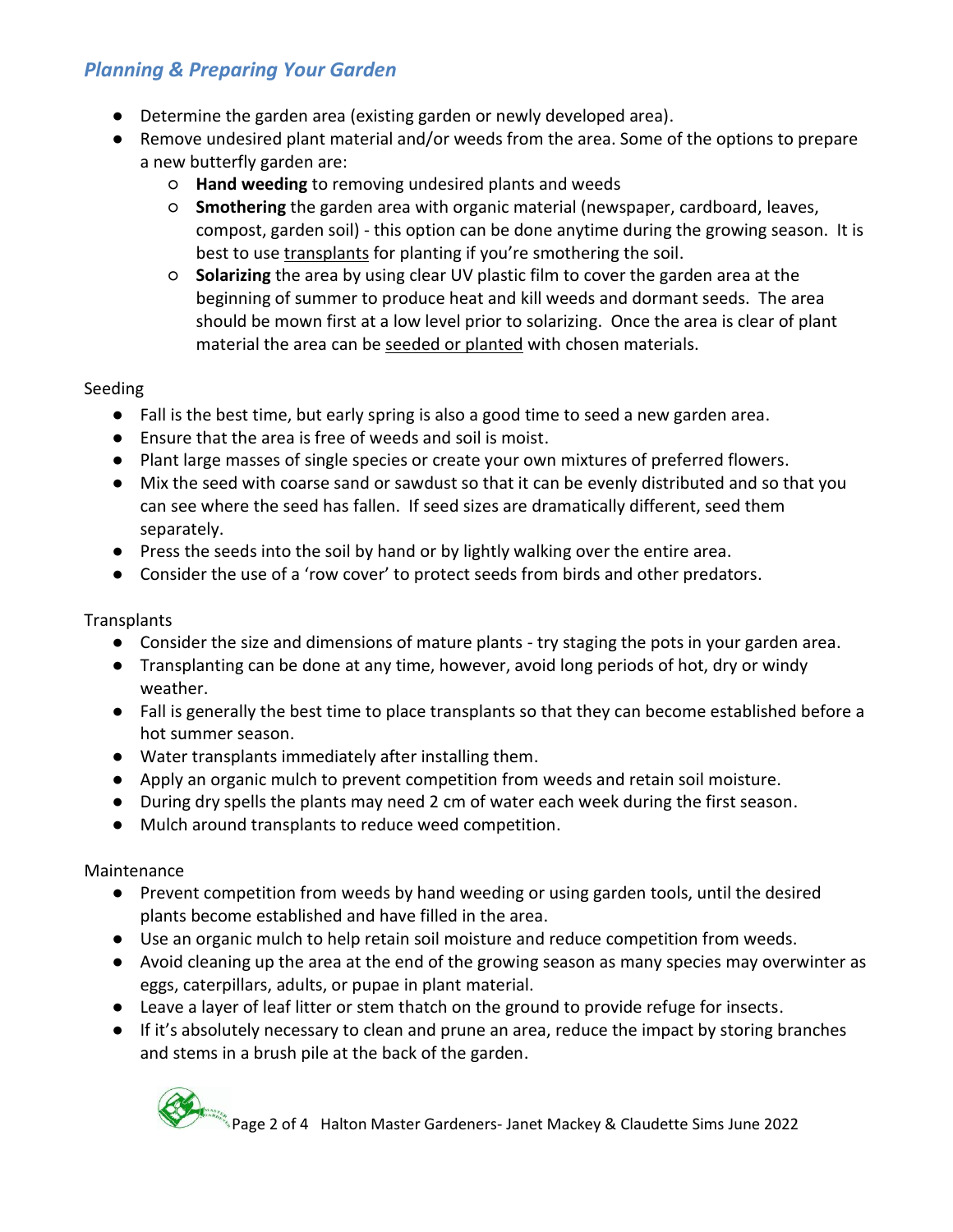## *Planning & Preparing Your Garden*

- Determine the garden area (existing garden or newly developed area).
- Remove undesired plant material and/or weeds from the area. Some of the options to prepare a new butterfly garden are:
	- **Hand weeding** to removing undesired plants and weeds
	- **Smothering** the garden area with organic material (newspaper, cardboard, leaves, compost, garden soil) - this option can be done anytime during the growing season. It is best to use transplants for planting if you're smothering the soil.
	- **Solarizing** the area by using clear UV plastic film to cover the garden area at the beginning of summer to produce heat and kill weeds and dormant seeds. The area should be mown first at a low level prior to solarizing. Once the area is clear of plant material the area can be seeded or planted with chosen materials.

#### Seeding

- Fall is the best time, but early spring is also a good time to seed a new garden area.
- Ensure that the area is free of weeds and soil is moist.
- Plant large masses of single species or create your own mixtures of preferred flowers.
- Mix the seed with coarse sand or sawdust so that it can be evenly distributed and so that you can see where the seed has fallen. If seed sizes are dramatically different, seed them separately.
- Press the seeds into the soil by hand or by lightly walking over the entire area.
- Consider the use of a 'row cover' to protect seeds from birds and other predators.

#### **Transplants**

- Consider the size and dimensions of mature plants try staging the pots in your garden area.
- Transplanting can be done at any time, however, avoid long periods of hot, dry or windy weather.
- Fall is generally the best time to place transplants so that they can become established before a hot summer season.
- Water transplants immediately after installing them.
- Apply an organic mulch to prevent competition from weeds and retain soil moisture.
- During dry spells the plants may need 2 cm of water each week during the first season.
- Mulch around transplants to reduce weed competition.

#### Maintenance

- Prevent competition from weeds by hand weeding or using garden tools, until the desired plants become established and have filled in the area.
- Use an organic mulch to help retain soil moisture and reduce competition from weeds.
- Avoid cleaning up the area at the end of the growing season as many species may overwinter as eggs, caterpillars, adults, or pupae in plant material.
- Leave a layer of leaf litter or stem thatch on the ground to provide refuge for insects.
- If it's absolutely necessary to clean and prune an area, reduce the impact by storing branches and stems in a brush pile at the back of the garden.

Page 2 of 4 Halton Master Gardeners- Janet Mackey & Claudette Sims June 2022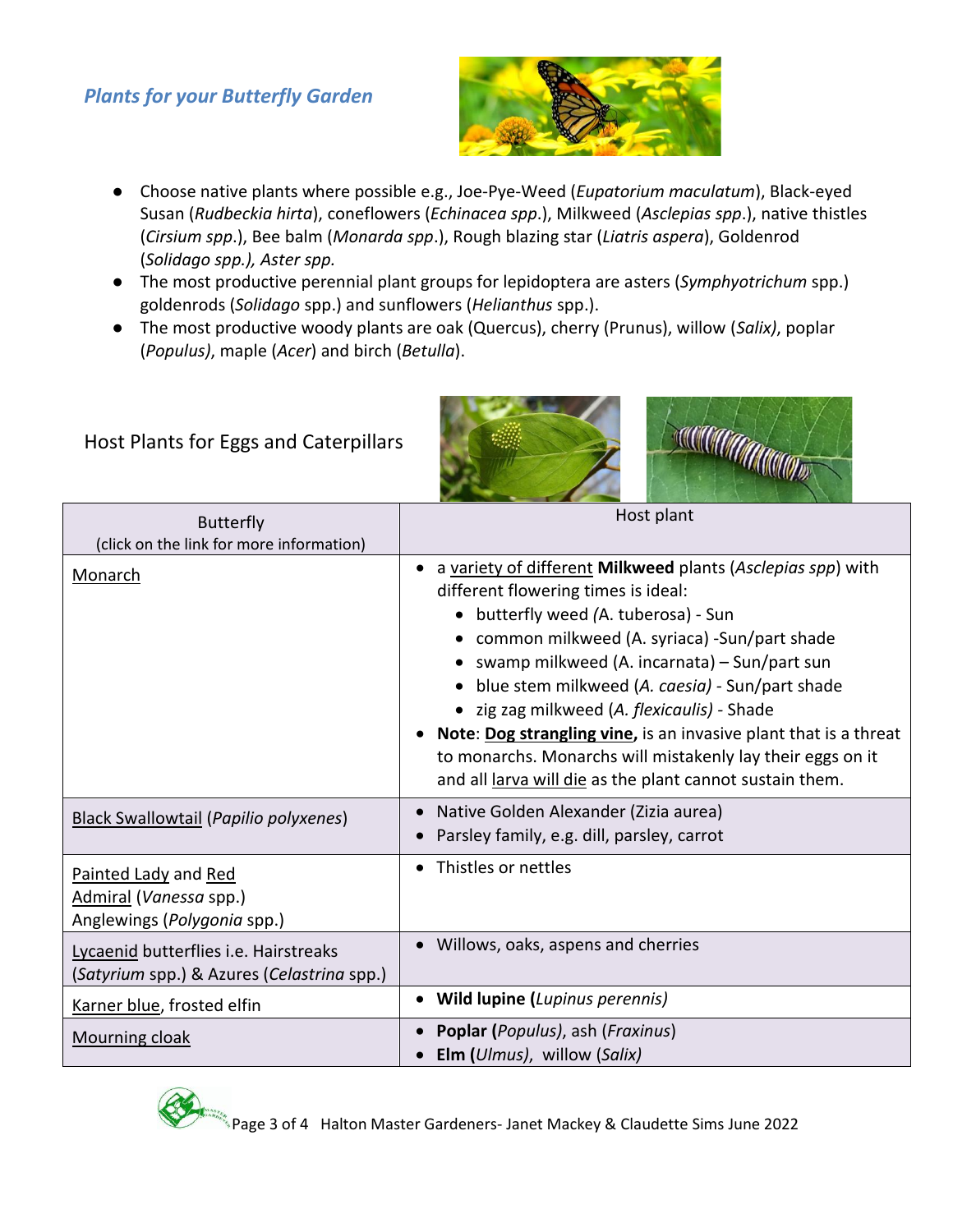## *Plants for your Butterfly Garden*

![](_page_2_Picture_1.jpeg)

- Choose native plants where possible e.g., Joe-Pye-Weed (*Eupatorium maculatum*), Black-eyed Susan (*Rudbeckia hirta*), coneflowers (*Echinacea spp*.), Milkweed (*Asclepias spp*.), native thistles (*Cirsium spp*.), Bee balm (*Monarda spp*.), Rough blazing star (*Liatris aspera*), Goldenrod (*Solidago spp.), Aster spp.*
- The most productive perennial plant groups for lepidoptera are asters (*Symphyotrichum* spp.) goldenrods (*Solidago* spp.) and sunflowers (*Helianthus* spp.).
- The most productive woody plants are oak (Quercus), cherry (Prunus), willow (*Salix)*, poplar (*Populus)*, maple (*Acer*) and birch (*Betulla*).

# Host Plants for Eggs and Caterpillars

![](_page_2_Picture_6.jpeg)

| <b>Butterfly</b><br>(click on the link for more information)                        | Host plant                                                                                                                                                                                                                                                                                                                                                                                                                                                                                                                                 |
|-------------------------------------------------------------------------------------|--------------------------------------------------------------------------------------------------------------------------------------------------------------------------------------------------------------------------------------------------------------------------------------------------------------------------------------------------------------------------------------------------------------------------------------------------------------------------------------------------------------------------------------------|
| <b>Monarch</b>                                                                      | a variety of different Milkweed plants (Asclepias spp) with<br>different flowering times is ideal:<br>• butterfly weed (A. tuberosa) - Sun<br>common milkweed (A. syriaca) -Sun/part shade<br>swamp milkweed (A. incarnata) – Sun/part sun<br>blue stem milkweed (A. caesia) - Sun/part shade<br>• zig zag milkweed (A. flexicaulis) - Shade<br>Note: Dog strangling vine, is an invasive plant that is a threat<br>to monarchs. Monarchs will mistakenly lay their eggs on it<br>and all larva will die as the plant cannot sustain them. |
| <b>Black Swallowtail (Papilio polyxenes)</b>                                        | Native Golden Alexander (Zizia aurea)<br>Parsley family, e.g. dill, parsley, carrot                                                                                                                                                                                                                                                                                                                                                                                                                                                        |
| Painted Lady and Red<br>Admiral (Vanessa spp.)<br>Anglewings (Polygonia spp.)       | Thistles or nettles<br>$\bullet$                                                                                                                                                                                                                                                                                                                                                                                                                                                                                                           |
| Lycaenid butterflies i.e. Hairstreaks<br>(Satyrium spp.) & Azures (Celastrina spp.) | Willows, oaks, aspens and cherries<br>$\bullet$                                                                                                                                                                                                                                                                                                                                                                                                                                                                                            |
| Karner blue, frosted elfin                                                          | <b>Wild lupine (Lupinus perennis)</b><br>$\bullet$                                                                                                                                                                                                                                                                                                                                                                                                                                                                                         |
| Mourning cloak                                                                      | <b>Poplar (Populus), ash (Fraxinus)</b><br>$\bullet$<br>Elm (Ulmus), willow (Salix)                                                                                                                                                                                                                                                                                                                                                                                                                                                        |

![](_page_2_Picture_8.jpeg)